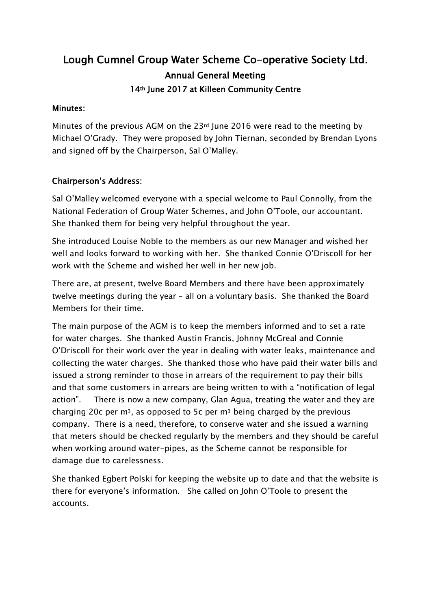# Lough Cumnel Group Water Scheme Co-operative Society Ltd. Annual General Meeting 14th June 2017 at Killeen Community Centre

#### Minutes:

Minutes of the previous AGM on the 23rd June 2016 were read to the meeting by Michael O'Grady. They were proposed by John Tiernan, seconded by Brendan Lyons and signed off by the Chairperson, Sal O'Malley.

## Chairperson's Address:

Sal O'Malley welcomed everyone with a special welcome to Paul Connolly, from the National Federation of Group Water Schemes, and John O'Toole, our accountant. She thanked them for being very helpful throughout the year.

She introduced Louise Noble to the members as our new Manager and wished her well and looks forward to working with her. She thanked Connie O'Driscoll for her work with the Scheme and wished her well in her new job.

There are, at present, twelve Board Members and there have been approximately twelve meetings during the year – all on a voluntary basis. She thanked the Board Members for their time.

The main purpose of the AGM is to keep the members informed and to set a rate for water charges. She thanked Austin Francis, Johnny McGreal and Connie O'Driscoll for their work over the year in dealing with water leaks, maintenance and collecting the water charges. She thanked those who have paid their water bills and issued a strong reminder to those in arrears of the requirement to pay their bills and that some customers in arrears are being written to with a "notification of legal action". There is now a new company, Glan Agua, treating the water and they are charging 20c per  $m^3$ , as opposed to 5c per  $m^3$  being charged by the previous company. There is a need, therefore, to conserve water and she issued a warning that meters should be checked regularly by the members and they should be careful when working around water-pipes, as the Scheme cannot be responsible for damage due to carelessness.

She thanked Egbert Polski for keeping the website up to date and that the website is there for everyone's information. She called on John O'Toole to present the accounts.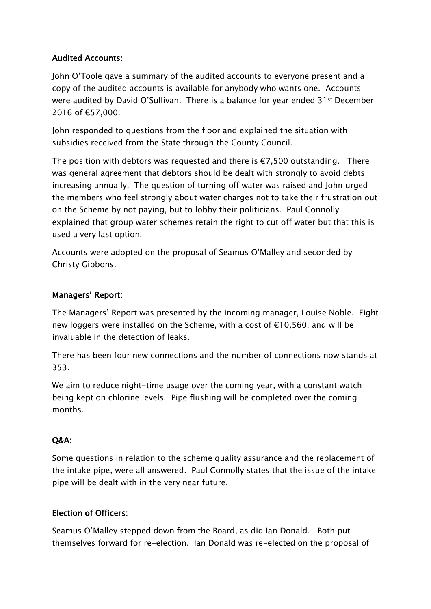## Audited Accounts:

John O'Toole gave a summary of the audited accounts to everyone present and a copy of the audited accounts is available for anybody who wants one. Accounts were audited by David O'Sullivan. There is a balance for year ended 31st December 2016 of €57,000.

John responded to questions from the floor and explained the situation with subsidies received from the State through the County Council.

The position with debtors was requested and there is  $E$ ,500 outstanding. There was general agreement that debtors should be dealt with strongly to avoid debts increasing annually. The question of turning off water was raised and John urged the members who feel strongly about water charges not to take their frustration out on the Scheme by not paying, but to lobby their politicians. Paul Connolly explained that group water schemes retain the right to cut off water but that this is used a very last option.

Accounts were adopted on the proposal of Seamus O'Malley and seconded by Christy Gibbons.

#### Managers' Report:

The Managers' Report was presented by the incoming manager, Louise Noble. Eight new loggers were installed on the Scheme, with a cost of €10,560, and will be invaluable in the detection of leaks.

There has been four new connections and the number of connections now stands at 353.

We aim to reduce night-time usage over the coming year, with a constant watch being kept on chlorine levels. Pipe flushing will be completed over the coming months.

#### Q&A:

Some questions in relation to the scheme quality assurance and the replacement of the intake pipe, were all answered. Paul Connolly states that the issue of the intake pipe will be dealt with in the very near future.

## Election of Officers:

Seamus O'Malley stepped down from the Board, as did Ian Donald. Both put themselves forward for re-election. Ian Donald was re-elected on the proposal of